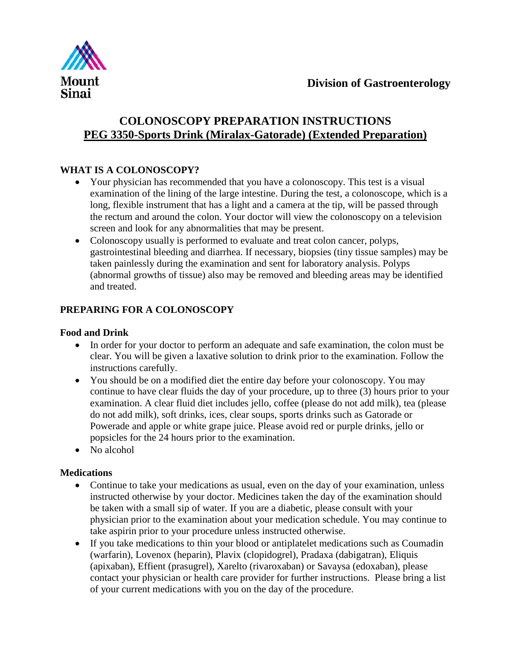

## **COLONOSCOPY PREPARATION INSTRUCTIONS PEG 3350-Sports Drink (Miralax-Gatorade) (Extended Preparation)**

## **WHAT IS A COLONOSCOPY?**

- Your physician has recommended that you have a colonoscopy. This test is a visual examination of the lining of the large intestine. During the test, a colonoscope, which is a long, flexible instrument that has a light and a camera at the tip, will be passed through the rectum and around the colon. Your doctor will view the colonoscopy on a television screen and look for any abnormalities that may be present.
- Colonoscopy usually is performed to evaluate and treat colon cancer, polyps, gastrointestinal bleeding and diarrhea. If necessary, biopsies (tiny tissue samples) may be taken painlessly during the examination and sent for laboratory analysis. Polyps (abnormal growths of tissue) also may be removed and bleeding areas may be identified and treated.

## **PREPARING FOR A COLONOSCOPY**

### **Food and Drink**

- In order for your doctor to perform an adequate and safe examination, the colon must be clear. You will be given a laxative solution to drink prior to the examination. Follow the instructions carefully.
- You should be on a modified diet the entire day before your colonoscopy. You may continue to have clear fluids the day of your procedure, up to three (3) hours prior to your examination. A clear fluid diet includes jello, coffee (please do not add milk), tea (please do not add milk), soft drinks, ices, clear soups, sports drinks such as Gatorade or Powerade and apple or white grape juice. Please avoid red or purple drinks, jello or popsicles for the 24 hours prior to the examination.
- No alcohol

### **Medications**

- Continue to take your medications as usual, even on the day of your examination, unless instructed otherwise by your doctor. Medicines taken the day of the examination should be taken with a small sip of water. If you are a diabetic, please consult with your physician prior to the examination about your medication schedule. You may continue to take aspirin prior to your procedure unless instructed otherwise.
- If you take medications to thin your blood or antiplatelet medications such as Coumadin (warfarin), Lovenox (heparin), Plavix (clopidogrel), Pradaxa (dabigatran), Eliquis (apixaban), Effient (prasugrel), Xarelto (rivaroxaban) or Savaysa (edoxaban), please contact your physician or health care provider for further instructions. Please bring a list of your current medications with you on the day of the procedure.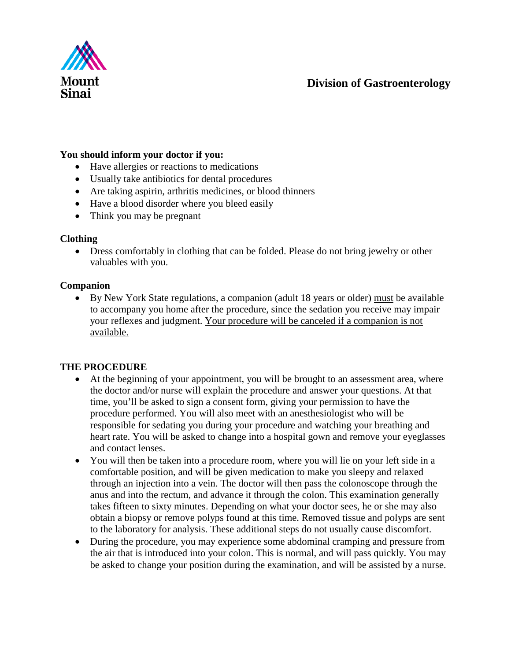

#### **You should inform your doctor if you:**

- Have allergies or reactions to medications
- Usually take antibiotics for dental procedures
- Are taking aspirin, arthritis medicines, or blood thinners
- Have a blood disorder where you bleed easily
- Think you may be pregnant

#### **Clothing**

• Dress comfortably in clothing that can be folded. Please do not bring jewelry or other valuables with you.

#### **Companion**

• By New York State regulations, a companion (adult 18 years or older) must be available to accompany you home after the procedure, since the sedation you receive may impair your reflexes and judgment. Your procedure will be canceled if a companion is not available.

#### **THE PROCEDURE**

- At the beginning of your appointment, you will be brought to an assessment area, where the doctor and/or nurse will explain the procedure and answer your questions. At that time, you'll be asked to sign a consent form, giving your permission to have the procedure performed. You will also meet with an anesthesiologist who will be responsible for sedating you during your procedure and watching your breathing and heart rate. You will be asked to change into a hospital gown and remove your eyeglasses and contact lenses.
- You will then be taken into a procedure room, where you will lie on your left side in a comfortable position, and will be given medication to make you sleepy and relaxed through an injection into a vein. The doctor will then pass the colonoscope through the anus and into the rectum, and advance it through the colon. This examination generally takes fifteen to sixty minutes. Depending on what your doctor sees, he or she may also obtain a biopsy or remove polyps found at this time. Removed tissue and polyps are sent to the laboratory for analysis. These additional steps do not usually cause discomfort.
- During the procedure, you may experience some abdominal cramping and pressure from the air that is introduced into your colon. This is normal, and will pass quickly. You may be asked to change your position during the examination, and will be assisted by a nurse.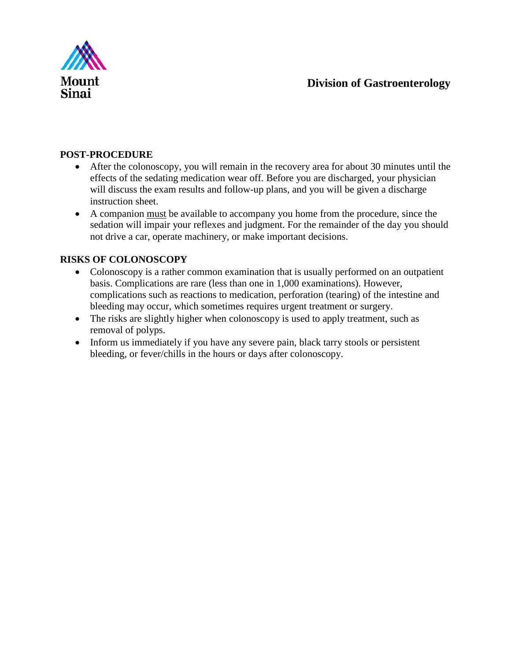

### **POST-PROCEDURE**

- After the colonoscopy, you will remain in the recovery area for about 30 minutes until the effects of the sedating medication wear off. Before you are discharged, your physician will discuss the exam results and follow-up plans, and you will be given a discharge instruction sheet.
- A companion must be available to accompany you home from the procedure, since the sedation will impair your reflexes and judgment. For the remainder of the day you should not drive a car, operate machinery, or make important decisions.

### **RISKS OF COLONOSCOPY**

- Colonoscopy is a rather common examination that is usually performed on an outpatient basis. Complications are rare (less than one in 1,000 examinations). However, complications such as reactions to medication, perforation (tearing) of the intestine and bleeding may occur, which sometimes requires urgent treatment or surgery.
- The risks are slightly higher when colonoscopy is used to apply treatment, such as removal of polyps.
- Inform us immediately if you have any severe pain, black tarry stools or persistent bleeding, or fever/chills in the hours or days after colonoscopy.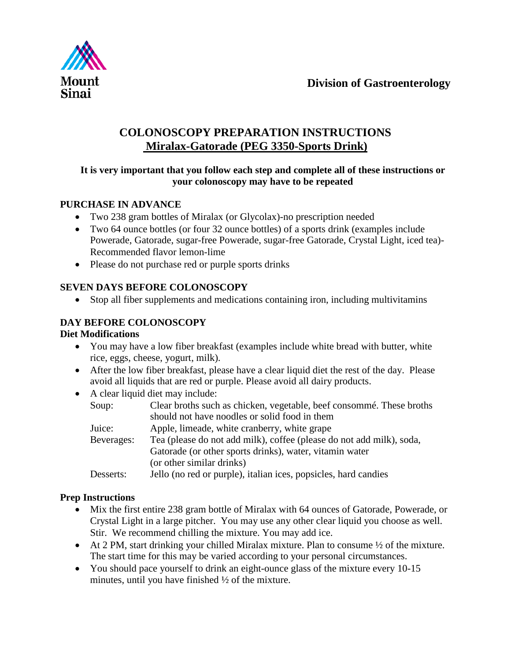

# **COLONOSCOPY PREPARATION INSTRUCTIONS Miralax-Gatorade (PEG 3350-Sports Drink)**

### **It is very important that you follow each step and complete all of these instructions or your colonoscopy may have to be repeated**

## **PURCHASE IN ADVANCE**

- Two 238 gram bottles of Miralax (or Glycolax)-no prescription needed
- Two 64 ounce bottles (or four 32 ounce bottles) of a sports drink (examples include Powerade, Gatorade, sugar-free Powerade, sugar-free Gatorade, Crystal Light, iced tea)- Recommended flavor lemon-lime
- Please do not purchase red or purple sports drinks

## **SEVEN DAYS BEFORE COLONOSCOPY**

• Stop all fiber supplements and medications containing iron, including multivitamins

## **DAY BEFORE COLONOSCOPY**

### **Diet Modifications**

- You may have a low fiber breakfast (examples include white bread with butter, white rice, eggs, cheese, yogurt, milk).
- After the low fiber breakfast, please have a clear liquid diet the rest of the day. Please avoid all liquids that are red or purple. Please avoid all dairy products.
- A clear liquid diet may include:

| Soup:      | Clear broths such as chicken, vegetable, beef consommé. These broths |
|------------|----------------------------------------------------------------------|
|            |                                                                      |
|            | should not have no odles or solid food in them                       |
| Juice:     | Apple, limeade, white cranberry, white grape                         |
| Beverages: | Tea (please do not add milk), coffee (please do not add milk), soda, |
|            | Gatorade (or other sports drinks), water, vitamin water              |
|            | (or other similar drinks)                                            |
| Desserts:  | Jello (no red or purple), italian ices, popsicles, hard candies      |

### **Prep Instructions**

- Mix the first entire 238 gram bottle of Miralax with 64 ounces of Gatorade, Powerade, or Crystal Light in a large pitcher. You may use any other clear liquid you choose as well. Stir. We recommend chilling the mixture. You may add ice.
- At 2 PM, start drinking your chilled Miralax mixture. Plan to consume  $\frac{1}{2}$  of the mixture. The start time for this may be varied according to your personal circumstances.
- You should pace yourself to drink an eight-ounce glass of the mixture every 10-15 minutes, until you have finished  $\frac{1}{2}$  of the mixture.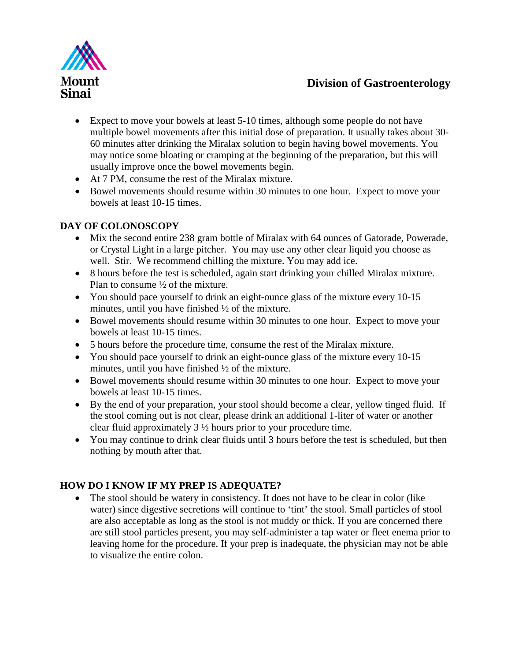

- Expect to move your bowels at least 5-10 times, although some people do not have multiple bowel movements after this initial dose of preparation. It usually takes about 30- 60 minutes after drinking the Miralax solution to begin having bowel movements. You may notice some bloating or cramping at the beginning of the preparation, but this will usually improve once the bowel movements begin.
- At 7 PM, consume the rest of the Miralax mixture.
- Bowel movements should resume within 30 minutes to one hour. Expect to move your bowels at least 10-15 times.

## **DAY OF COLONOSCOPY**

- Mix the second entire 238 gram bottle of Miralax with 64 ounces of Gatorade, Powerade, or Crystal Light in a large pitcher. You may use any other clear liquid you choose as well. Stir. We recommend chilling the mixture. You may add ice.
- 8 hours before the test is scheduled, again start drinking your chilled Miralax mixture. Plan to consume ½ of the mixture.
- You should pace yourself to drink an eight-ounce glass of the mixture every 10-15 minutes, until you have finished ½ of the mixture.
- Bowel movements should resume within 30 minutes to one hour. Expect to move your bowels at least 10-15 times.
- 5 hours before the procedure time, consume the rest of the Miralax mixture.
- You should pace yourself to drink an eight-ounce glass of the mixture every 10-15 minutes, until you have finished ½ of the mixture.
- Bowel movements should resume within 30 minutes to one hour. Expect to move your bowels at least 10-15 times.
- By the end of your preparation, your stool should become a clear, yellow tinged fluid. If the stool coming out is not clear, please drink an additional 1-liter of water or another clear fluid approximately 3 ½ hours prior to your procedure time.
- You may continue to drink clear fluids until 3 hours before the test is scheduled, but then nothing by mouth after that.

## **HOW DO I KNOW IF MY PREP IS ADEQUATE?**

• The stool should be watery in consistency. It does not have to be clear in color (like water) since digestive secretions will continue to 'tint' the stool. Small particles of stool are also acceptable as long as the stool is not muddy or thick. If you are concerned there are still stool particles present, you may self-administer a tap water or fleet enema prior to leaving home for the procedure. If your prep is inadequate, the physician may not be able to visualize the entire colon.